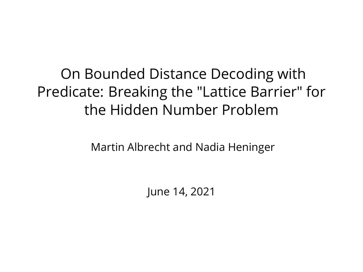On Bounded Distance Decoding with Predicate: Breaking the "Lattice Barrier" for the Hidden Number Problem

Martin Albrecht and Nadia Heninger

June 14, 2021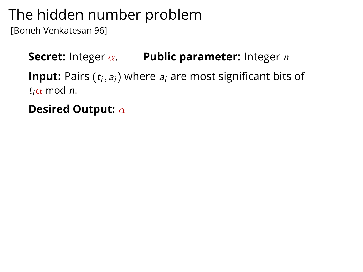# The hidden number problem

[Boneh Venkatesan 96]

**Secret:** Integer α. **Public parameter:** Integer n **Input:** Pairs  $(t_i, a_i)$  where  $a_i$  are most significant bits of  $t_i\alpha$  mod *n*.

**Desired Output:** α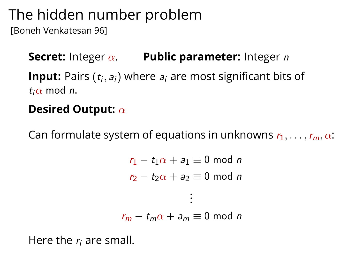# The hidden number problem

[Boneh Venkatesan 96]

**Secret:** Integer α. **Public parameter:** Integer n **Input:** Pairs  $(t_i, a_i)$  where  $a_i$  are most significant bits of  $t_i\alpha$  mod *n*.

#### **Desired Output:** α

Can formulate system of equations in unknowns  $r_1, \ldots, r_m, \alpha$ :

```
r_1 - t_1 \alpha + a_1 \equiv 0 \text{ mod } nr_2 - t_2\alpha + a_2 \equiv 0 \mod n.
                          .
                          .
r_m - t_m \alpha + a_m \equiv 0 \text{ mod } n
```
Here the  $r_i$  are small.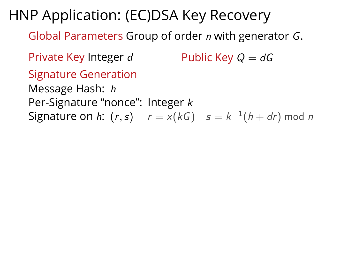HNP Application: (EC)DSA Key Recovery

Global Parameters Group of order n with generator G.

Private Key Integer d Public Key  $Q = dG$ 

Signature Generation

Message Hash: h

Per-Signature "nonce": Integer k

 ${\sf Signature~on}~h:~ (r,s) \hspace{5mm} r = x (kG) \hspace{5mm} s = k^{-1} (h + dr) \bmod n$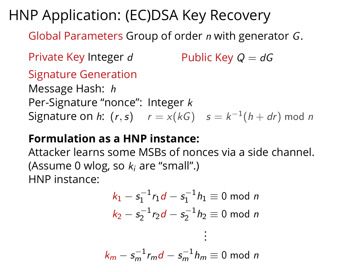# HNP Application: (EC)DSA Key Recovery

Global Parameters Group of order n with generator G.

Private Key Integer d Public Key  $Q = dG$ 

Signature Generation

Message Hash: h Per-Signature "nonce": Integer k  ${\sf Signature~on}~h:~ (r,s) \hspace{5mm} r = x (kG) \hspace{5mm} s = k^{-1} (h + dr) \bmod n$ 

#### **Formulation as a HNP instance:**

Attacker learns some MSBs of nonces via a side channel. (Assume 0 wlog, so  $k_i$  are "small".) HNP instance:

$$
k_1 - s_1^{-1}r_1d - s_1^{-1}h_1 \equiv 0 \mod n
$$
  

$$
k_2 - s_2^{-1}r_2d - s_2^{-1}h_2 \equiv 0 \mod n
$$
  
...

$$
k_m - s_m^{-1}r_m d - s_m^{-1}h_m \equiv 0 \bmod n
$$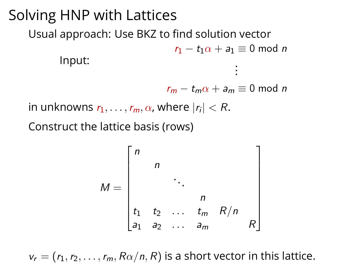#### Solving HNP with Lattices Usual approach: Use BKZ to find solution vector Input:  $r_1 - t_1 \alpha + a_1 \equiv 0 \mod n$ . . .

 $r_m - t_m \alpha + a_m \equiv 0 \text{ mod } n$ 

in unknowns  $r_1,\ldots,r_m,\alpha$ , where  $|r_i| < R.$ 

Construct the lattice basis (rows)

$$
M = \begin{bmatrix} n & & & & \\ & n & & & \\ & & \ddots & & \\ & & & n & \\ t_1 & t_2 & \dots & t_m & R/n \\ a_1 & a_2 & \dots & a_m & & R \end{bmatrix}
$$

 $v_r = (r_1, r_2, \ldots, r_m, R\alpha/n, R)$  is a short vector in this lattice.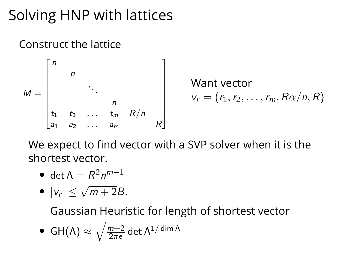# Solving HNP with lattices

#### Construct the lattice



We expect to find vector with a SVP solver when it is the shortest vector.

$$
\bullet\ \det\Lambda=R^2n^{m-1}
$$

$$
\bullet \ |v_r| \leq \sqrt{m+2}B.
$$

Gaussian Heuristic for length of shortest vector

• GH(A) 
$$
\approx \sqrt{\frac{m+2}{2\pi e}} \det \Lambda^{1/\dim \Lambda}
$$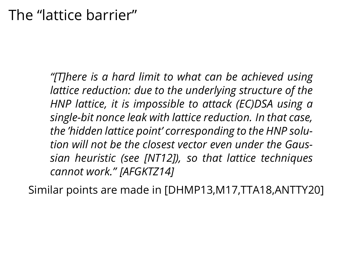*"[T]here is a hard limit to what can be achieved using lattice reduction: due to the underlying structure of the HNP lattice, it is impossible to attack (EC)DSA using a single-bit nonce leak with lattice reduction. In that case, the 'hidden lattice point' corresponding to the HNP solution will not be the closest vector even under the Gaussian heuristic (see [NT12]), so that lattice techniques cannot work." [AFGKTZ14]*

Similar points are made in [DHMP13,M17,TTA18,ANTTY20]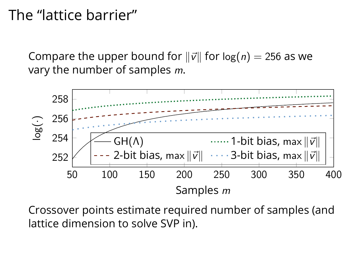## The "lattice barrier"

Compare the upper bound for  $\|\vec{v}\|$  for  $\log(n) = 256$  as we vary the number of samples m.



Crossover points estimate required number of samples (and lattice dimension to solve SVP in).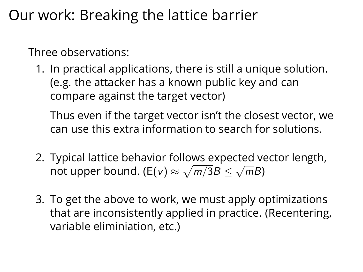# Our work: Breaking the lattice barrier

Three observations:

1. In practical applications, there is still a unique solution. (e.g. the attacker has a known public key and can compare against the target vector)

Thus even if the target vector isn't the closest vector, we can use this extra information to search for solutions.

- 2. Typical lattice behavior follows expected vector length, not upper bound. (E(v)  $\approx \sqrt{m/3}B \le \sqrt{m}$  $\overline{m}B$ )
- 3. To get the above to work, we must apply optimizations that are inconsistently applied in practice. (Recentering, variable eliminiation, etc.)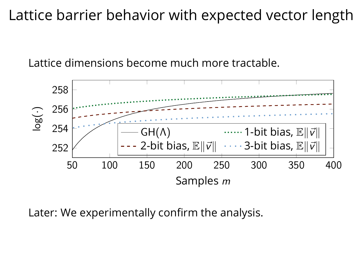## Lattice barrier behavior with expected vector length

Lattice dimensions become much more tractable.



Later: We experimentally confirm the analysis.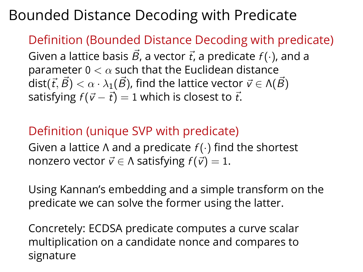# Bounded Distance Decoding with Predicate

Definition (Bounded Distance Decoding with predicate) Given a lattice basis  $\vec{B}$ , a vector  $\vec{t}$ , a predicate  $f(\cdot)$ , and a parameter 0  $< \alpha$  such that the Euclidean distance dist( $\vec{t}, \vec{B}$ )  $< \alpha \cdot \lambda_1(\vec{B})$ , find the lattice vector  $\vec{v} \in \Lambda(\vec{B})$ satisfying  $f(\vec{v} - \vec{t}) = 1$  which is closest to  $\vec{t}$ .

#### Definition (unique SVP with predicate)

Given a lattice Λ and a predicate  $f(\cdot)$  find the shortest nonzero vector  $\vec{v} \in \Lambda$  satisfying  $f(\vec{v}) = 1$ .

Using Kannan's embedding and a simple transform on the predicate we can solve the former using the latter.

Concretely: ECDSA predicate computes a curve scalar multiplication on a candidate nonce and compares to signature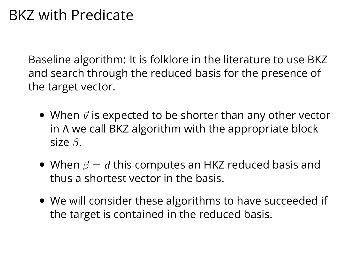# BKZ with Predicate

Baseline algorithm: It is folklore in the literature to use BKZ and search through the reduced basis for the presence of the target vector.

- When  $\vec{v}$  is expected to be shorter than any other vector in Λ we call BKZ algorithm with the appropriate block size  $\beta$ .
- When  $\beta = d$  this computes an HKZ reduced basis and thus a shortest vector in the basis.
- We will consider these algorithms to have succeeded if the target is contained in the reduced basis.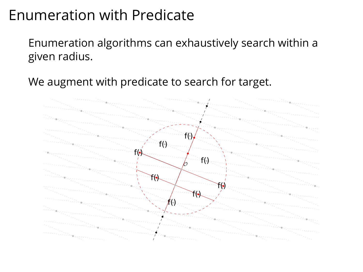## Enumeration with Predicate

Enumeration algorithms can exhaustively search within a given radius.

We augment with predicate to search for target.

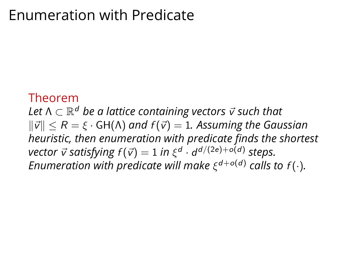## Enumeration with Predicate

#### Theorem

 $L$ et Λ  $\subset$   $\mathbb{R}^d$  *be a lattice containing vectors*  $\vec{v}$  *such that*  $\|\vec{v}\|$  < R =  $\xi$  · GH( $\Lambda$ ) and  $f(\vec{v}) = 1$ . Assuming the Gaussian *heuristic, then enumeration with predicate finds the shortest*  $\textit{vector $\vec{v}$ satisfying $f(\vec{v})=1$ in $\xi^d \cdot d^{d/(2e)+o(d)}$ steps}.$ Enumeration with predicate will make  $\xi^{d + o(d)}$  calls to  $f(\cdot).$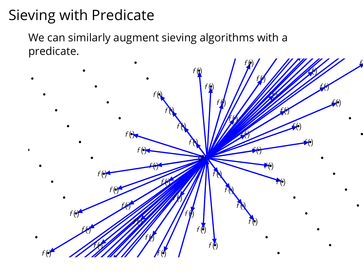# Sieving with Predicate

We can similarly augment sieving algorithms with a predicate.

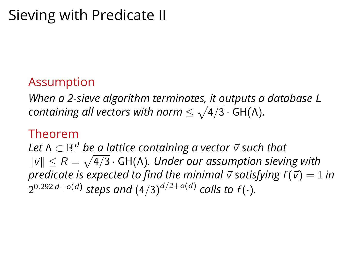# Sieving with Predicate II

#### Assumption

*When a 2-sieve algorithm terminates, it outputs a database* L *containing all vectors with norm*  $\leq \sqrt{4/3} \cdot$  GH(Λ).

#### Theorem

 $L$ et Λ  $\subset$   $\mathbb{R}^d$  *be a lattice containing a vector*  $\vec{v}$  *such that*  $\|\vec{v}\| \leq R = \sqrt{4/3} \cdot$  GH(Λ). Under our assumption sieving with *predicate is expected to find the minimal*  $\vec{v}$  *satisfying*  $f(\vec{v}) = 1$  *in*  $2^{0.292\,d + o(d)}$  steps and  $\left(4/3\right)^{d/2 + o(d)}$  calls to  $f(\cdot).$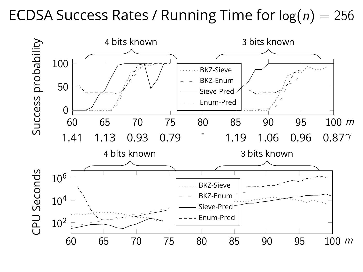### ECDSA Success Rates / Running Time for  $log(n) = 256$

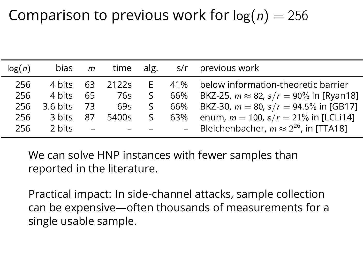# Comparison to previous work for  $log(n) = 256$

| log(n) | bias               | m   | time alg. |    |     | s/r previous work                                 |
|--------|--------------------|-----|-----------|----|-----|---------------------------------------------------|
| 256    | 4 bits             | 63  | 2122s     | F. |     | 41% below information-theoretic barrier           |
| 256    | 4 bits             | 65  | 76s       | S. | 66% | BKZ-25, $m \approx 82$ , $s/r = 90\%$ in [Ryan18] |
| 256    | $3.6 \text{ bits}$ | -73 | 69s       | S. | 66% | BKZ-30, $m = 80$ , $s/r = 94.5\%$ in [GB17]       |
| 256    | 3 bits             | 87  | 5400s     | S. | 63% | enum, $m = 100$ , $s/r = 21\%$ in [LCLi14]        |
| 256    | 2 bits             |     |           |    |     | Bleichenbacher, $m \approx 2^{26}$ , in [TTA18]   |

We can solve HNP instances with fewer samples than reported in the literature.

Practical impact: In side-channel attacks, sample collection can be expensive—often thousands of measurements for a single usable sample.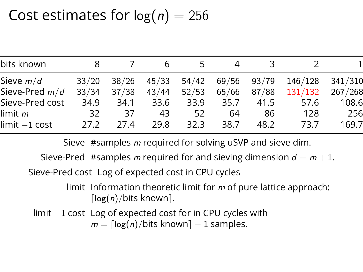## Cost estimates for  $log(n) = 256$

| bits known      |       |       |       | 5     | 4     | З.          |         |         |
|-----------------|-------|-------|-------|-------|-------|-------------|---------|---------|
| Sieve $m/d$     | 33/20 | 38/26 | 45/33 | 54/42 |       | 69/56 93/79 | 146/128 | 341/310 |
| Sieve-Pred m/d  | 33/34 | 37/38 | 43/44 | 52/53 | 65/66 | 87/88       | 131/132 | 267/268 |
| Sieve-Pred cost | 34.9  | 34.1  | 33.6  | 33.9  | 35.7  | 41.5        | 57.6    | 108.6   |
| $limit$ $m$     | 32    | 37    | 43    | 52    | 64    | 86          | 128     | 256     |
| $limit -1 cost$ | 27.2  | 27.4  | 29.8  | 32.3  | 38.7  | 48.2        | 73.7    | 169.7   |

Sieve #samples m required for solving uSVP and sieve dim.

Sieve-Pred #samples m required for and sieving dimension  $d = m + 1$ .

Sieve-Pred cost Log of expected cost in CPU cycles

limit Information theoretic limit for  $m$  of pure lattice approach:  $\lceil \log(n)/b$ its known $\rceil$ .

limit −1 cost Log of expected cost for in CPU cycles with  $m = \lceil \log(n)/b$ its known $\rceil - 1$  samples.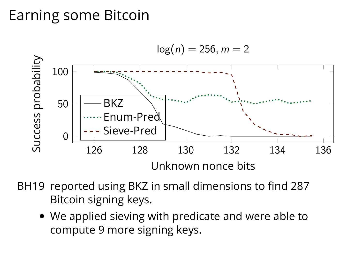# Earning some Bitcoin



- BH19 reported using BKZ in small dimensions to find 287 Bitcoin signing keys.
	- We applied sieving with predicate and were able to compute 9 more signing keys.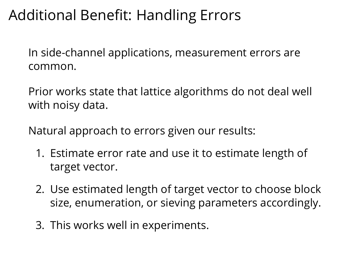# Additional Benefit: Handling Errors

In side-channel applications, measurement errors are common.

Prior works state that lattice algorithms do not deal well with noisy data.

Natural approach to errors given our results:

- 1. Estimate error rate and use it to estimate length of target vector.
- 2. Use estimated length of target vector to choose block size, enumeration, or sieving parameters accordingly.
- 3. This works well in experiments.